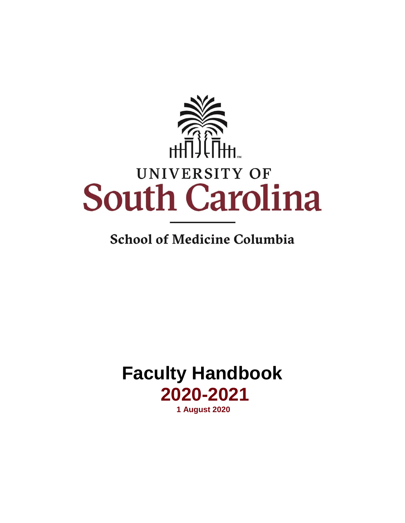

## **School of Medicine Columbia**

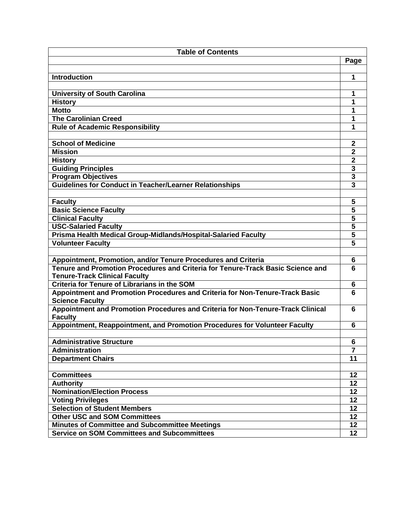| <b>Table of Contents</b>                                                                                                |                         |
|-------------------------------------------------------------------------------------------------------------------------|-------------------------|
|                                                                                                                         | Page                    |
|                                                                                                                         |                         |
| <b>Introduction</b>                                                                                                     | 1                       |
|                                                                                                                         |                         |
| <b>University of South Carolina</b>                                                                                     | 1                       |
| <b>History</b>                                                                                                          | 1                       |
| <b>Motto</b>                                                                                                            | 1                       |
| <b>The Carolinian Creed</b>                                                                                             | 1                       |
| <b>Rule of Academic Responsibility</b>                                                                                  | 1                       |
|                                                                                                                         |                         |
| <b>School of Medicine</b>                                                                                               | $\boldsymbol{2}$        |
| <b>Mission</b>                                                                                                          | $\overline{2}$          |
| <b>History</b>                                                                                                          | $\mathbf{2}$            |
| <b>Guiding Principles</b>                                                                                               | $\overline{\mathbf{3}}$ |
| <b>Program Objectives</b>                                                                                               | $\mathbf{3}$            |
| <b>Guidelines for Conduct in Teacher/Learner Relationships</b>                                                          | 3                       |
|                                                                                                                         |                         |
| <b>Faculty</b>                                                                                                          | 5                       |
| <b>Basic Science Faculty</b>                                                                                            | $\overline{\mathbf{5}}$ |
| <b>Clinical Faculty</b>                                                                                                 | $\overline{\mathbf{5}}$ |
| <b>USC-Salaried Faculty</b>                                                                                             | $\overline{\mathbf{5}}$ |
|                                                                                                                         | $\overline{\mathbf{5}}$ |
| Prisma Health Medical Group-Midlands/Hospital-Salaried Faculty                                                          | $\overline{5}$          |
| <b>Volunteer Faculty</b>                                                                                                |                         |
|                                                                                                                         |                         |
| Appointment, Promotion, and/or Tenure Procedures and Criteria                                                           | 6                       |
| Tenure and Promotion Procedures and Criteria for Tenure-Track Basic Science and<br><b>Tenure-Track Clinical Faculty</b> | 6                       |
| <b>Criteria for Tenure of Librarians in the SOM</b>                                                                     | 6                       |
| Appointment and Promotion Procedures and Criteria for Non-Tenure-Track Basic                                            | 6                       |
| <b>Science Faculty</b>                                                                                                  |                         |
| Appointment and Promotion Procedures and Criteria for Non-Tenure-Track Clinical                                         | 6                       |
| <b>Faculty</b>                                                                                                          |                         |
| Appointment, Reappointment, and Promotion Procedures for Volunteer Faculty                                              | 6                       |
|                                                                                                                         |                         |
| <b>Administrative Structure</b>                                                                                         | 6                       |
| <b>Administration</b>                                                                                                   | $\overline{7}$          |
| <b>Department Chairs</b>                                                                                                | 11                      |
|                                                                                                                         |                         |
| <b>Committees</b>                                                                                                       | 12                      |
| <b>Authority</b>                                                                                                        | 12                      |
| <b>Nomination/Election Process</b>                                                                                      | 12                      |
| <b>Voting Privileges</b>                                                                                                | 12                      |
| <b>Selection of Student Members</b>                                                                                     | 12                      |
| <b>Other USC and SOM Committees</b>                                                                                     | 12                      |
| <b>Minutes of Committee and Subcommittee Meetings</b>                                                                   | 12                      |
| <b>Service on SOM Committees and Subcommittees</b>                                                                      | 12                      |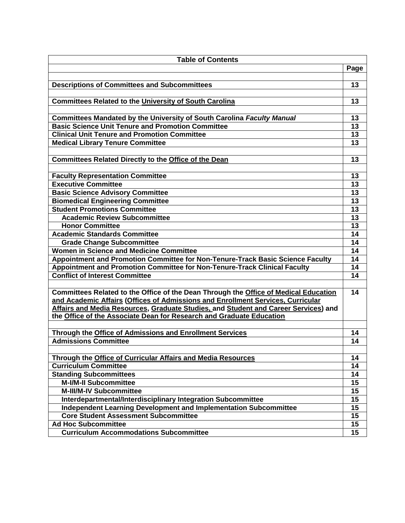| <b>Table of Contents</b>                                                                                                                                               |                 |
|------------------------------------------------------------------------------------------------------------------------------------------------------------------------|-----------------|
|                                                                                                                                                                        | Page            |
|                                                                                                                                                                        |                 |
| <b>Descriptions of Committees and Subcommittees</b>                                                                                                                    | 13              |
|                                                                                                                                                                        |                 |
| <b>Committees Related to the University of South Carolina</b>                                                                                                          | 13              |
|                                                                                                                                                                        |                 |
| Committees Mandated by the University of South Carolina Faculty Manual                                                                                                 | 13              |
| <b>Basic Science Unit Tenure and Promotion Committee</b>                                                                                                               | 13              |
| <b>Clinical Unit Tenure and Promotion Committee</b>                                                                                                                    | 13              |
| <b>Medical Library Tenure Committee</b>                                                                                                                                | 13              |
|                                                                                                                                                                        |                 |
| <b>Committees Related Directly to the Office of the Dean</b>                                                                                                           | 13              |
|                                                                                                                                                                        |                 |
| <b>Faculty Representation Committee</b>                                                                                                                                | 13              |
| <b>Executive Committee</b>                                                                                                                                             | 13              |
| <b>Basic Science Advisory Committee</b>                                                                                                                                | 13              |
| <b>Biomedical Engineering Committee</b>                                                                                                                                | 13              |
| <b>Student Promotions Committee</b>                                                                                                                                    | 13              |
| <b>Academic Review Subcommittee</b>                                                                                                                                    | 13              |
| <b>Honor Committee</b>                                                                                                                                                 | 13              |
| <b>Academic Standards Committee</b>                                                                                                                                    | 14              |
| <b>Grade Change Subcommittee</b>                                                                                                                                       | 14              |
| <b>Women in Science and Medicine Committee</b>                                                                                                                         | 14              |
| Appointment and Promotion Committee for Non-Tenure-Track Basic Science Faculty                                                                                         | 14              |
|                                                                                                                                                                        | 14              |
| Appointment and Promotion Committee for Non-Tenure-Track Clinical Faculty<br><b>Conflict of Interest Committee</b>                                                     |                 |
|                                                                                                                                                                        | 14              |
| Committees Related to the Office of the Dean Through the Office of Medical Education                                                                                   | 14              |
|                                                                                                                                                                        |                 |
| and Academic Affairs (Offices of Admissions and Enrollment Services, Curricular<br>Affairs and Media Resources, Graduate Studies, and Student and Career Services) and |                 |
| the Office of the Associate Dean for Research and Graduate Education                                                                                                   |                 |
|                                                                                                                                                                        |                 |
| Through the Office of Admissions and Enrollment Services                                                                                                               | 14              |
| <b>Admissions Committee</b>                                                                                                                                            | 14              |
|                                                                                                                                                                        |                 |
| Through the Office of Curricular Affairs and Media Resources                                                                                                           | 14              |
| <b>Curriculum Committee</b>                                                                                                                                            | 14              |
|                                                                                                                                                                        |                 |
| <b>Standing Subcommittees</b><br><b>M-I/M-II Subcommittee</b>                                                                                                          | 14              |
|                                                                                                                                                                        | 15              |
| M-III/M-IV Subcommittee                                                                                                                                                | 15              |
| Interdepartmental/Interdisciplinary Integration Subcommittee                                                                                                           | $\overline{15}$ |
| Independent Learning Development and Implementation Subcommittee                                                                                                       | 15              |
| <b>Core Student Assessment Subcommittee</b>                                                                                                                            | 15              |
| <b>Ad Hoc Subcommittee</b>                                                                                                                                             | 15              |
| <b>Curriculum Accommodations Subcommittee</b>                                                                                                                          | 15              |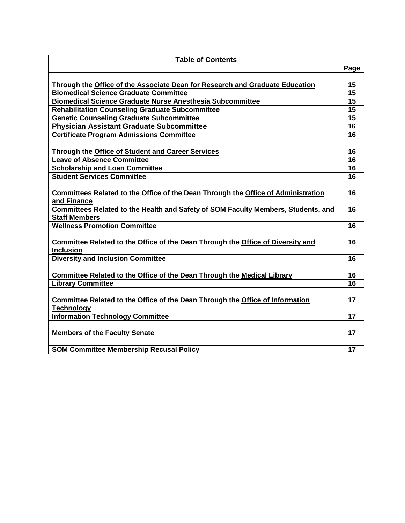| <b>Table of Contents</b>                                                                                  |      |
|-----------------------------------------------------------------------------------------------------------|------|
|                                                                                                           | Page |
|                                                                                                           |      |
| Through the Office of the Associate Dean for Research and Graduate Education                              | 15   |
| <b>Biomedical Science Graduate Committee</b>                                                              | 15   |
| <b>Biomedical Science Graduate Nurse Anesthesia Subcommittee</b>                                          | 15   |
| <b>Rehabilitation Counseling Graduate Subcommittee</b>                                                    | 15   |
| <b>Genetic Counseling Graduate Subcommittee</b>                                                           | 15   |
| Physician Assistant Graduate Subcommittee                                                                 | 16   |
| <b>Certificate Program Admissions Committee</b>                                                           | 16   |
|                                                                                                           |      |
| Through the Office of Student and Career Services                                                         | 16   |
| <b>Leave of Absence Committee</b>                                                                         | 16   |
| <b>Scholarship and Loan Committee</b>                                                                     | 16   |
| <b>Student Services Committee</b>                                                                         | 16   |
|                                                                                                           |      |
| Committees Related to the Office of the Dean Through the Office of Administration<br>and Finance          | 16   |
| Committees Related to the Health and Safety of SOM Faculty Members, Students, and<br><b>Staff Members</b> | 16   |
| <b>Wellness Promotion Committee</b>                                                                       | 16   |
|                                                                                                           |      |
| Committee Related to the Office of the Dean Through the Office of Diversity and<br><b>Inclusion</b>       | 16   |
| <b>Diversity and Inclusion Committee</b>                                                                  | 16   |
|                                                                                                           |      |
| Committee Related to the Office of the Dean Through the Medical Library                                   | 16   |
| <b>Library Committee</b>                                                                                  | 16   |
|                                                                                                           |      |
| Committee Related to the Office of the Dean Through the Office of Information                             | 17   |
| <b>Technology</b>                                                                                         |      |
| <b>Information Technology Committee</b>                                                                   | 17   |
|                                                                                                           |      |
| <b>Members of the Faculty Senate</b>                                                                      | 17   |
|                                                                                                           |      |
| <b>SOM Committee Membership Recusal Policy</b>                                                            | 17   |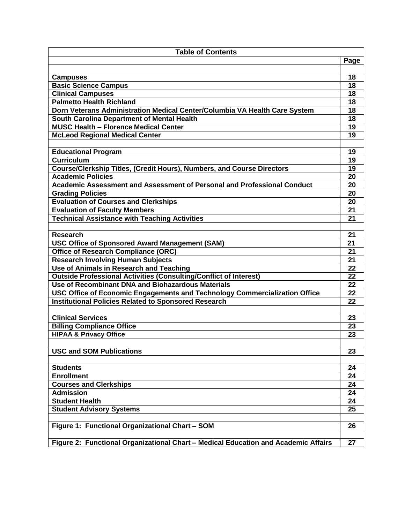| <b>Table of Contents</b>                                                           |                 |  |
|------------------------------------------------------------------------------------|-----------------|--|
|                                                                                    | Page            |  |
|                                                                                    |                 |  |
| <b>Campuses</b>                                                                    | 18              |  |
| <b>Basic Science Campus</b>                                                        | 18              |  |
| <b>Clinical Campuses</b>                                                           | 18              |  |
| <b>Palmetto Health Richland</b>                                                    | 18              |  |
| Dorn Veterans Administration Medical Center/Columbia VA Health Care System         | 18              |  |
| South Carolina Department of Mental Health                                         | 18              |  |
| <b>MUSC Health - Florence Medical Center</b>                                       | 19              |  |
| <b>McLeod Regional Medical Center</b>                                              | 19              |  |
|                                                                                    |                 |  |
| <b>Educational Program</b>                                                         | 19              |  |
| <b>Curriculum</b>                                                                  | 19              |  |
| Course/Clerkship Titles, (Credit Hours), Numbers, and Course Directors             | 19              |  |
| <b>Academic Policies</b>                                                           | 20              |  |
| Academic Assessment and Assessment of Personal and Professional Conduct            | 20              |  |
| <b>Grading Policies</b>                                                            | 20              |  |
| <b>Evaluation of Courses and Clerkships</b>                                        | 20              |  |
| <b>Evaluation of Faculty Members</b>                                               | 21              |  |
| <b>Technical Assistance with Teaching Activities</b>                               | 21              |  |
|                                                                                    |                 |  |
| <b>Research</b>                                                                    | 21              |  |
| <b>USC Office of Sponsored Award Management (SAM)</b>                              | 21              |  |
| <b>Office of Research Compliance (ORC)</b>                                         | 21              |  |
| <b>Research Involving Human Subjects</b>                                           | 21              |  |
| Use of Animals in Research and Teaching                                            | 22              |  |
| <b>Outside Professional Activities (Consulting/Conflict of Interest)</b>           | $\overline{22}$ |  |
| Use of Recombinant DNA and Biohazardous Materials                                  | 22              |  |
| USC Office of Economic Engagements and Technology Commercialization Office         | 22              |  |
| <b>Institutional Policies Related to Sponsored Research</b>                        | 22              |  |
|                                                                                    |                 |  |
| <b>Clinical Services</b>                                                           | 23              |  |
| <b>Billing Compliance Office</b>                                                   | 23              |  |
| <b>HIPAA &amp; Privacy Office</b>                                                  | 23              |  |
|                                                                                    |                 |  |
| <b>USC and SOM Publications</b>                                                    | 23              |  |
|                                                                                    |                 |  |
| <b>Students</b>                                                                    | 24              |  |
| <b>Enrollment</b>                                                                  | 24              |  |
| <b>Courses and Clerkships</b>                                                      | 24              |  |
| <b>Admission</b>                                                                   | 24              |  |
| <b>Student Health</b>                                                              | 24              |  |
| <b>Student Advisory Systems</b>                                                    | 25              |  |
|                                                                                    |                 |  |
| Figure 1: Functional Organizational Chart - SOM                                    | 26              |  |
|                                                                                    |                 |  |
| Figure 2: Functional Organizational Chart - Medical Education and Academic Affairs | 27              |  |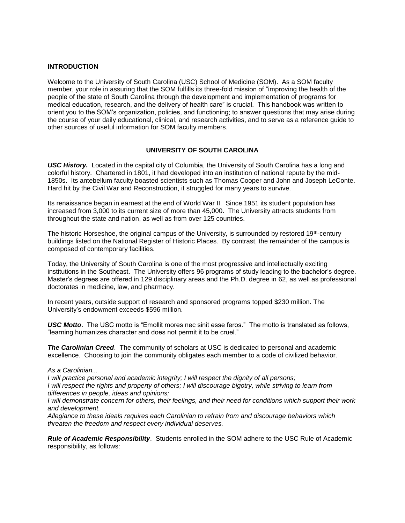#### **INTRODUCTION**

Welcome to the University of South Carolina (USC) School of Medicine (SOM). As a SOM faculty member, your role in assuring that the SOM fulfills its three-fold mission of "improving the health of the people of the state of South Carolina through the development and implementation of programs for medical education, research, and the delivery of health care" is crucial. This handbook was written to orient you to the SOM's organization, policies, and functioning; to answer questions that may arise during the course of your daily educational, clinical, and research activities, and to serve as a reference guide to other sources of useful information for SOM faculty members.

#### **UNIVERSITY OF SOUTH CAROLINA**

*USC History.* Located in the capital city of Columbia, the University of South Carolina has a long and colorful history. Chartered in 1801, it had developed into an institution of national repute by the mid-1850s. Its antebellum faculty boasted scientists such as Thomas Cooper and John and Joseph LeConte. Hard hit by the Civil War and Reconstruction, it struggled for many years to survive.

Its renaissance began in earnest at the end of World War II. Since 1951 its student population has increased from 3,000 to its current size of more than 45,000. The University attracts students from throughout the state and nation, as well as from over 125 countries.

The historic Horseshoe, the original campus of the University, is surrounded by restored 19<sup>th</sup>-century buildings listed on the National Register of Historic Places. By contrast, the remainder of the campus is composed of contemporary facilities.

Today, the University of South Carolina is one of the most progressive and intellectually exciting institutions in the Southeast. The University offers 96 programs of study leading to the bachelor's degree. Master's degrees are offered in 129 disciplinary areas and the Ph.D. degree in 62, as well as professional doctorates in medicine, law, and pharmacy.

In recent years, outside support of research and sponsored programs topped \$230 million. The University's endowment exceeds \$596 million.

*USC Motto***.** The USC motto is "Emollit mores nec sinit esse feros." The motto is translated as follows, "learning humanizes character and does not permit it to be cruel."

*The Carolinian Creed*. The community of scholars at USC is dedicated to personal and academic excellence. Choosing to join the community obligates each member to a code of civilized behavior.

#### *As a Carolinian...*

*I will practice personal and academic integrity; I will respect the dignity of all persons;*

*I will respect the rights and property of others; I will discourage bigotry, while striving to learn from differences in people, ideas and opinions;*

*I will demonstrate concern for others, their feelings, and their need for conditions which support their work and development.*

*Allegiance to these ideals requires each Carolinian to refrain from and discourage behaviors which threaten the freedom and respect every individual deserves.*

*Rule of Academic Responsibility*. Students enrolled in the SOM adhere to the USC Rule of Academic responsibility, as follows: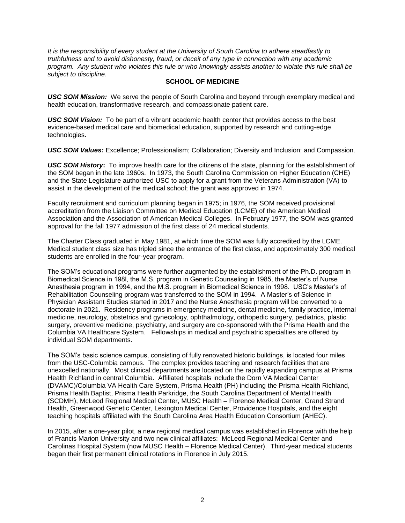*It is the responsibility of every student at the University of South Carolina to adhere steadfastly to truthfulness and to avoid dishonesty, fraud, or deceit of any type in connection with any academic program. Any student who violates this rule or who knowingly assists another to violate this rule shall be subject to discipline.*

## **SCHOOL OF MEDICINE**

*USC SOM Mission:* We serve the people of South Carolina and beyond through exemplary medical and health education, transformative research, and compassionate patient care.

*USC SOM Vision:* To be part of a vibrant academic health center that provides access to the best evidence-based medical care and biomedical education, supported by research and cutting-edge technologies.

*USC SOM Values:* Excellence; Professionalism; Collaboration; Diversity and Inclusion; and Compassion.

*USC SOM History***:** To improve health care for the citizens of the state, planning for the establishment of the SOM began in the late 1960s. In 1973, the South Carolina Commission on Higher Education (CHE) and the State Legislature authorized USC to apply for a grant from the Veterans Administration (VA) to assist in the development of the medical school; the grant was approved in 1974.

Faculty recruitment and curriculum planning began in 1975; in 1976, the SOM received provisional accreditation from the Liaison Committee on Medical Education (LCME) of the American Medical Association and the Association of American Medical Colleges. In February 1977, the SOM was granted approval for the fall 1977 admission of the first class of 24 medical students.

The Charter Class graduated in May 1981, at which time the SOM was fully accredited by the LCME. Medical student class size has tripled since the entrance of the first class, and approximately 300 medical students are enrolled in the four-year program.

The SOM's educational programs were further augmented by the establishment of the Ph.D. program in Biomedical Science in 198l, the M.S. program in Genetic Counseling in 1985, the Master's of Nurse Anesthesia program in 1994, and the M.S. program in Biomedical Science in 1998. USC's Master's of Rehabilitation Counseling program was transferred to the SOM in 1994. A Master's of Science in Physician Assistant Studies started in 2017 and the Nurse Anesthesia program will be converted to a doctorate in 2021. Residency programs in emergency medicine, dental medicine, family practice, internal medicine, neurology, obstetrics and gynecology, ophthalmology, orthopedic surgery, pediatrics, plastic surgery, preventive medicine, psychiatry, and surgery are co-sponsored with the Prisma Health and the Columbia VA Healthcare System. Fellowships in medical and psychiatric specialties are offered by individual SOM departments.

The SOM's basic science campus, consisting of fully renovated historic buildings, is located four miles from the USC-Columbia campus. The complex provides teaching and research facilities that are unexcelled nationally. Most clinical departments are located on the rapidly expanding campus at Prisma Health Richland in central Columbia. Affiliated hospitals include the Dorn VA Medical Center (DVAMC)/Columbia VA Health Care System, Prisma Health (PH) including the Prisma Health Richland, Prisma Health Baptist, Prisma Health Parkridge, the South Carolina Department of Mental Health (SCDMH), McLeod Regional Medical Center, MUSC Health – Florence Medical Center, Grand Strand Health, Greenwood Genetic Center, Lexington Medical Center, Providence Hospitals, and the eight teaching hospitals affiliated with the South Carolina Area Health Education Consortium (AHEC).

In 2015, after a one-year pilot, a new regional medical campus was established in Florence with the help of Francis Marion University and two new clinical affiliates: McLeod Regional Medical Center and Carolinas Hospital System (now MUSC Health – Florence Medical Center). Third-year medical students began their first permanent clinical rotations in Florence in July 2015.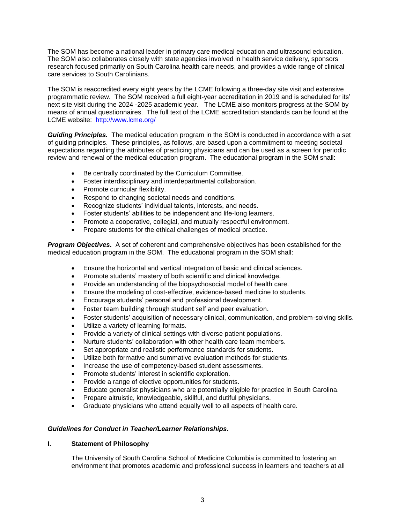The SOM has become a national leader in primary care medical education and ultrasound education. The SOM also collaborates closely with state agencies involved in health service delivery, sponsors research focused primarily on South Carolina health care needs, and provides a wide range of clinical care services to South Carolinians.

The SOM is reaccredited every eight years by the LCME following a three-day site visit and extensive programmatic review. The SOM received a full eight-year accreditation in 2019 and is scheduled for its' next site visit during the 2024 -2025 academic year. The LCME also monitors progress at the SOM by means of annual questionnaires. The full text of the LCME accreditation standards can be found at the LCME website: <http://www.lcme.org/>

*Guiding Principles.* The medical education program in the SOM is conducted in accordance with a set of guiding principles. These principles, as follows, are based upon a commitment to meeting societal expectations regarding the attributes of practicing physicians and can be used as a screen for periodic review and renewal of the medical education program. The educational program in the SOM shall:

- Be centrally coordinated by the Curriculum Committee.
- Foster interdisciplinary and interdepartmental collaboration.
- Promote curricular flexibility.
- Respond to changing societal needs and conditions.
- Recognize students' individual talents, interests, and needs.
- Foster students' abilities to be independent and life-long learners.
- Promote a cooperative, collegial, and mutually respectful environment.
- Prepare students for the ethical challenges of medical practice.

*Program Objectives.* A set of coherent and comprehensive objectives has been established for the medical education program in the SOM. The educational program in the SOM shall:

- Ensure the horizontal and vertical integration of basic and clinical sciences.
- Promote students' mastery of both scientific and clinical knowledge.
- Provide an understanding of the biopsychosocial model of health care.
- Ensure the modeling of cost-effective, evidence-based medicine to students.
- Encourage students' personal and professional development.
- Foster team building through student self and peer evaluation.
- Foster students' acquisition of necessary clinical, communication, and problem-solving skills.
- Utilize a variety of learning formats.
- Provide a variety of clinical settings with diverse patient populations.
- Nurture students' collaboration with other health care team members.
- Set appropriate and realistic performance standards for students.
- Utilize both formative and summative evaluation methods for students.
- Increase the use of competency-based student assessments.
- Promote students' interest in scientific exploration.
- Provide a range of elective opportunities for students.
- Educate generalist physicians who are potentially eligible for practice in South Carolina.
- Prepare altruistic, knowledgeable, skillful, and dutiful physicians.
- Graduate physicians who attend equally well to all aspects of health care.

#### *Guidelines for Conduct in Teacher/Learner Relationships.*

#### **I. Statement of Philosophy**

The University of South Carolina School of Medicine Columbia is committed to fostering an environment that promotes academic and professional success in learners and teachers at all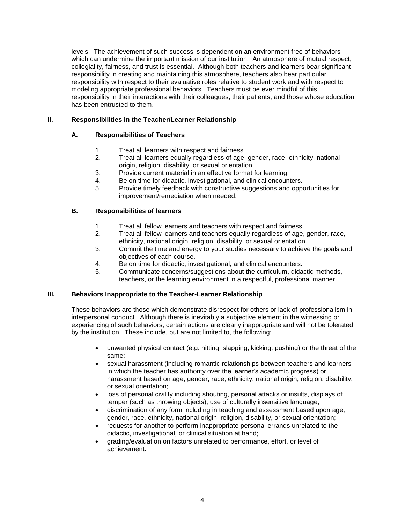levels. The achievement of such success is dependent on an environment free of behaviors which can undermine the important mission of our institution. An atmosphere of mutual respect, collegiality, fairness, and trust is essential. Although both teachers and learners bear significant responsibility in creating and maintaining this atmosphere, teachers also bear particular responsibility with respect to their evaluative roles relative to student work and with respect to modeling appropriate professional behaviors. Teachers must be ever mindful of this responsibility in their interactions with their colleagues, their patients, and those whose education has been entrusted to them.

## **II. Responsibilities in the Teacher/Learner Relationship**

## **A. Responsibilities of Teachers**

- 1. Treat all learners with respect and fairness
- 2. Treat all learners equally regardless of age, gender, race, ethnicity, national origin, religion, disability, or sexual orientation.
- 3. Provide current material in an effective format for learning.
- 4. Be on time for didactic, investigational, and clinical encounters.
- 5. Provide timely feedback with constructive suggestions and opportunities for improvement/remediation when needed.

## **B. Responsibilities of learners**

- 1. Treat all fellow learners and teachers with respect and fairness.
- 2. Treat all fellow learners and teachers equally regardless of age, gender, race, ethnicity, national origin, religion, disability, or sexual orientation.
- 3. Commit the time and energy to your studies necessary to achieve the goals and objectives of each course.
- 4. Be on time for didactic, investigational, and clinical encounters.
- 5. Communicate concerns/suggestions about the curriculum, didactic methods, teachers, or the learning environment in a respectful, professional manner.

## **III. Behaviors Inappropriate to the Teacher-Learner Relationship**

These behaviors are those which demonstrate disrespect for others or lack of professionalism in interpersonal conduct. Although there is inevitably a subjective element in the witnessing or experiencing of such behaviors, certain actions are clearly inappropriate and will not be tolerated by the institution. These include, but are not limited to, the following:

- unwanted physical contact (e.g. hitting, slapping, kicking, pushing) or the threat of the same;
- sexual harassment (including romantic relationships between teachers and learners in which the teacher has authority over the learner's academic progress) or harassment based on age, gender, race, ethnicity, national origin, religion, disability, or sexual orientation;
- loss of personal civility including shouting, personal attacks or insults, displays of temper (such as throwing objects), use of culturally insensitive language;
- discrimination of any form including in teaching and assessment based upon age, gender, race, ethnicity, national origin, religion, disability, or sexual orientation;
- requests for another to perform inappropriate personal errands unrelated to the didactic, investigational, or clinical situation at hand;
- grading/evaluation on factors unrelated to performance, effort, or level of achievement.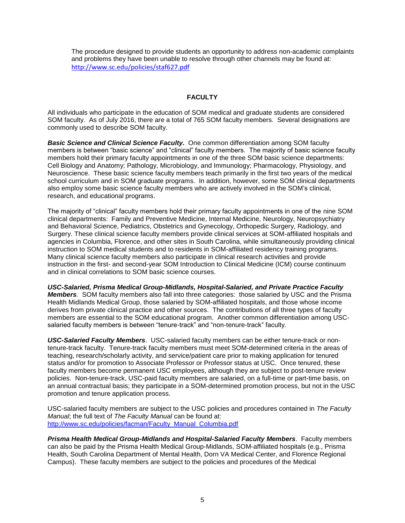The procedure designed to provide students an opportunity to address non-academic complaints and problems they have been unable to resolve through other channels may be found at: <http://www.sc.edu/policies/staf627.pdf>

## **FACULTY**

All individuals who participate in the education of SOM medical and graduate students are considered SOM faculty. As of July 2016, there are a total of 765 SOM faculty members. Several designations are commonly used to describe SOM faculty.

**Basic Science and Clinical Science Faculty.** One common differentiation among SOM faculty members is between "basic science" and "clinical" faculty members. The majority of basic science faculty members hold their primary faculty appointments in one of the three SOM basic science departments: Cell Biology and Anatomy; Pathology, Microbiology, and Immunology; Pharmacology, Physiology, and Neuroscience. These basic science faculty members teach primarily in the first two years of the medical school curriculum and in SOM graduate programs. In addition, however, some SOM clinical departments also employ some basic science faculty members who are actively involved in the SOM's clinical, research, and educational programs.

The majority of "clinical" faculty members hold their primary faculty appointments in one of the nine SOM clinical departments: Family and Preventive Medicine, Internal Medicine, Neurology, Neuropsychiatry and Behavioral Science, Pediatrics, Obstetrics and Gynecology, Orthopedic Surgery, Radiology, and Surgery. These clinical science faculty members provide clinical services at SOM-affiliated hospitals and agencies in Columbia, Florence, and other sites in South Carolina, while simultaneously providing clinical instruction to SOM medical students and to residents in SOM-affiliated residency training programs. Many clinical science faculty members also participate in clinical research activities and provide instruction in the first- and second-year SOM Introduction to Clinical Medicine (ICM) course continuum and in clinical correlations to SOM basic science courses.

*USC-Salaried, Prisma Medical Group-Midlands, Hospital-Salaried, and Private Practice Faculty Members.* SOM faculty members also fall into three categories: those salaried by USC and the Prisma Health Midlands Medical Group, those salaried by SOM-affiliated hospitals, and those whose income derives from private clinical practice and other sources. The contributions of all three types of faculty members are essential to the SOM educational program. Another common differentiation among USCsalaried faculty members is between "tenure-track" and "non-tenure-track" faculty.

*USC-Salaried Faculty Members*. USC-salaried faculty members can be either tenure-track or nontenure-track faculty. Tenure-track faculty members must meet SOM-determined criteria in the areas of teaching, research/scholarly activity, and service/patient care prior to making application for tenured status and/or for promotion to Associate Professor or Professor status at USC. Once tenured, these faculty members become permanent USC employees, although they are subject to post-tenure review policies. Non-tenure-track, USC-paid faculty members are salaried, on a full-time or part-time basis, on an annual contractual basis; they participate in a SOM-determined promotion process, but not in the USC promotion and tenure application process.

USC-salaried faculty members are subject to the USC policies and procedures contained in *The Faculty Manual*; the full text of *The Faculty Manual* can be found at: [http://www.sc.edu/policies/facman/Faculty\\_Manual\\_Columbia.pdf](http://www.sc.edu/policies/facman/Faculty_Manual_Columbia.pdf)

*Prisma Health Medical Group-Midlands and Hospital-Salaried Faculty Members*. Faculty members can also be paid by the Prisma Health Medical Group-Midlands, SOM-affiliated hospitals (e.g., Prisma Health, South Carolina Department of Mental Health, Dorn VA Medical Center, and Florence Regional Campus). These faculty members are subject to the policies and procedures of the Medical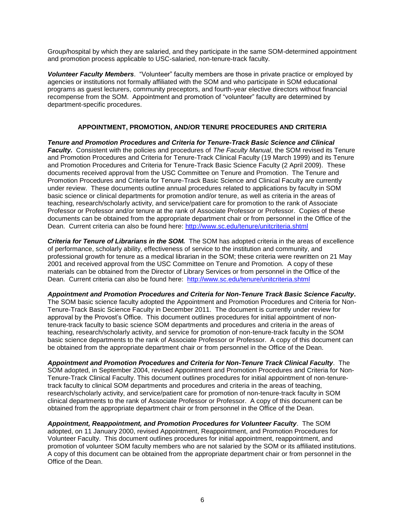Group/hospital by which they are salaried, and they participate in the same SOM-determined appointment and promotion process applicable to USC-salaried, non-tenure-track faculty.

*Volunteer Faculty Members*. "Volunteer" faculty members are those in private practice or employed by agencies or institutions not formally affiliated with the SOM and who participate in SOM educational programs as guest lecturers, community preceptors, and fourth-year elective directors without financial recompense from the SOM. Appointment and promotion of "volunteer" faculty are determined by department-specific procedures.

## **APPOINTMENT, PROMOTION, AND/OR TENURE PROCEDURES AND CRITERIA**

*Tenure and Promotion Procedures and Criteria for Tenure-Track Basic Science and Clinical Faculty.* Consistent with the policies and procedures of *The Faculty Manual*, the SOM revised its Tenure and Promotion Procedures and Criteria for Tenure-Track Clinical Faculty (19 March 1999) and its Tenure and Promotion Procedures and Criteria for Tenure-Track Basic Science Faculty (2 April 2009). These documents received approval from the USC Committee on Tenure and Promotion. The Tenure and Promotion Procedures and Criteria for Tenure-Track Basic Science and Clinical Faculty are currently under review. These documents outline annual procedures related to applications by faculty in SOM basic science or clinical departments for promotion and/or tenure, as well as criteria in the areas of teaching, research/scholarly activity, and service/patient care for promotion to the rank of Associate Professor or Professor and/or tenure at the rank of Associate Professor or Professor. Copies of these documents can be obtained from the appropriate department chair or from personnel in the Office of the Dean. Current criteria can also be found here:<http://www.sc.edu/tenure/unitcriteria.shtml>

*Criteria for Tenure of Librarians in the SOM.* The SOM has adopted criteria in the areas of excellence of performance, scholarly ability, effectiveness of service to the institution and community, and professional growth for tenure as a medical librarian in the SOM; these criteria were rewritten on 21 May 2001 and received approval from the USC Committee on Tenure and Promotion. A copy of these materials can be obtained from the Director of Library Services or from personnel in the Office of the Dean. Current criteria can also be found here: <http://www.sc.edu/tenure/unitcriteria.shtml>

*Appointment and Promotion Procedures and Criteria for Non-Tenure Track Basic Science Faculty***.**  The SOM basic science faculty adopted the Appointment and Promotion Procedures and Criteria for Non-Tenure-Track Basic Science Faculty in December 2011. The document is currently under review for approval by the Provost's Office. This document outlines procedures for initial appointment of nontenure-track faculty to basic science SOM departments and procedures and criteria in the areas of teaching, research/scholarly activity, and service for promotion of non-tenure-track faculty in the SOM basic science departments to the rank of Associate Professor or Professor. A copy of this document can be obtained from the appropriate department chair or from personnel in the Office of the Dean.

*Appointment and Promotion Procedures and Criteria for Non-Tenure Track Clinical Faculty*. The SOM adopted, in September 2004, revised Appointment and Promotion Procedures and Criteria for Non-Tenure-Track Clinical Faculty. This document outlines procedures for initial appointment of non-tenuretrack faculty to clinical SOM departments and procedures and criteria in the areas of teaching, research/scholarly activity, and service/patient care for promotion of non-tenure-track faculty in SOM clinical departments to the rank of Associate Professor or Professor. A copy of this document can be obtained from the appropriate department chair or from personnel in the Office of the Dean.

*Appointment, Reappointment, and Promotion Procedures for Volunteer Faculty*. The SOM adopted, on 11 January 2000, revised Appointment, Reappointment, and Promotion Procedures for Volunteer Faculty. This document outlines procedures for initial appointment, reappointment, and promotion of volunteer SOM faculty members who are not salaried by the SOM or its affiliated institutions. A copy of this document can be obtained from the appropriate department chair or from personnel in the Office of the Dean.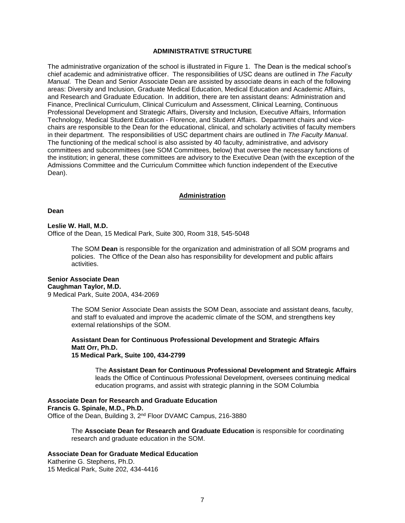#### **ADMINISTRATIVE STRUCTURE**

The administrative organization of the school is illustrated in Figure 1. The Dean is the medical school's chief academic and administrative officer. The responsibilities of USC deans are outlined in *The Faculty Manual*. The Dean and Senior Associate Dean are assisted by associate deans in each of the following areas: Diversity and Inclusion, Graduate Medical Education, Medical Education and Academic Affairs, and Research and Graduate Education. In addition, there are ten assistant deans: Administration and Finance, Preclinical Curriculum, Clinical Curriculum and Assessment, Clinical Learning, Continuous Professional Development and Strategic Affairs, Diversity and Inclusion, Executive Affairs, Information Technology, Medical Student Education - Florence, and Student Affairs. Department chairs and vicechairs are responsible to the Dean for the educational, clinical, and scholarly activities of faculty members in their department. The responsibilities of USC department chairs are outlined in *The Faculty Manual*. The functioning of the medical school is also assisted by 40 faculty, administrative, and advisory committees and subcommittees (see SOM Committees, below) that oversee the necessary functions of the institution; in general, these committees are advisory to the Executive Dean (with the exception of the Admissions Committee and the Curriculum Committee which function independent of the Executive Dean).

#### **Administration**

#### **Dean**

#### **Leslie W. Hall, M.D.**

Office of the Dean, 15 Medical Park, Suite 300, Room 318, 545-5048

The SOM **Dean** is responsible for the organization and administration of all SOM programs and policies. The Office of the Dean also has responsibility for development and public affairs activities.

#### **Senior Associate Dean Caughman Taylor, M.D.** 9 Medical Park, Suite 200A, 434-2069

The SOM Senior Associate Dean assists the SOM Dean, associate and assistant deans, faculty, and staff to evaluated and improve the academic climate of the SOM, and strengthens key external relationships of the SOM.

#### **Assistant Dean for Continuous Professional Development and Strategic Affairs Matt Orr, Ph.D. 15 Medical Park, Suite 100, 434-2799**

The **Assistant Dean for Continuous Professional Development and Strategic Affairs** leads the Office of Continuous Professional Development, oversees continuing medical education programs, and assist with strategic planning in the SOM Columbia

**Associate Dean for Research and Graduate Education Francis G. Spinale, M.D., Ph.D.** Office of the Dean, Building 3, 2<sup>nd</sup> Floor DVAMC Campus, 216-3880

> The **Associate Dean for Research and Graduate Education** is responsible for coordinating research and graduate education in the SOM.

## **Associate Dean for Graduate Medical Education**

Katherine G. Stephens, Ph.D. 15 Medical Park, Suite 202, 434-4416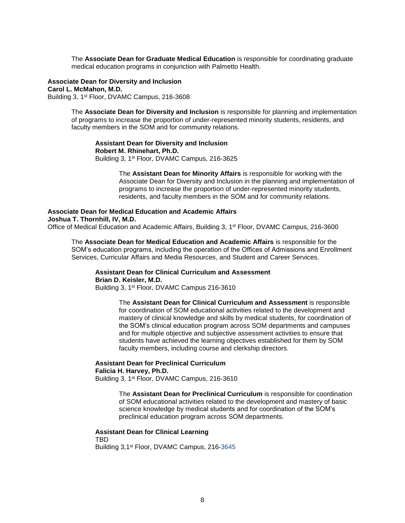The **Associate Dean for Graduate Medical Education** is responsible for coordinating graduate medical education programs in conjunction with Palmetto Health.

**Associate Dean for Diversity and Inclusion Carol L. McMahon, M.D.** Building 3, 1<sup>st</sup> Floor, DVAMC Campus, 216-3608

> The **Associate Dean for Diversity and Inclusion** is responsible for planning and implementation of programs to increase the proportion of under-represented minority students, residents, and faculty members in the SOM and for community relations.

**Assistant Dean for Diversity and Inclusion Robert M. Rhinehart, Ph.D.** Building 3, 1<sup>st</sup> Floor, DVAMC Campus, 216-3625

> The **Assistant Dean for Minority Affairs** is responsible for working with the Associate Dean for Diversity and Inclusion in the planning and implementation of programs to increase the proportion of under-represented minority students, residents, and faculty members in the SOM and for community relations.

**Associate Dean for Medical Education and Academic Affairs Joshua T. Thornhill, IV, M.D.**  Office of Medical Education and Academic Affairs, Building 3, 1<sup>st</sup> Floor, DVAMC Campus, 216-3600

The **Associate Dean for Medical Education and Academic Affairs** is responsible for the SOM's education programs, including the operation of the Offices of Admissions and Enrollment Services, Curricular Affairs and Media Resources, and Student and Career Services.

**Assistant Dean for Clinical Curriculum and Assessment Brian D. Keisler, M.D.**

Building 3, 1<sup>st</sup> Floor, DVAMC Campus 216-3610

The **Assistant Dean for Clinical Curriculum and Assessment** is responsible for coordination of SOM educational activities related to the development and mastery of clinical knowledge and skills by medical students, for coordination of the SOM's clinical education program across SOM departments and campuses and for multiple objective and subjective assessment activities to ensure that students have achieved the learning objectives established for them by SOM faculty members, including course and clerkship directors.

#### **Assistant Dean for Preclinical Curriculum Falicia H. Harvey, Ph.D.**

Building 3, 1<sup>st</sup> Floor, DVAMC Campus, 216-3610

The **Assistant Dean for Preclinical Curriculum** is responsible for coordination of SOM educational activities related to the development and mastery of basic science knowledge by medical students and for coordination of the SOM's preclinical education program across SOM departments.

**Assistant Dean for Clinical Learning** TBD Building 3,1<sup>st</sup> Floor, DVAMC Campus, 216-3645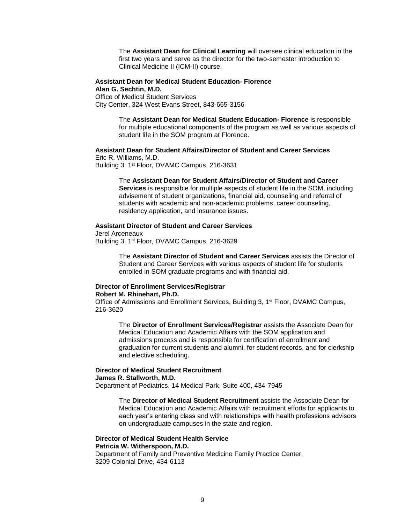The **Assistant Dean for Clinical Learning** will oversee clinical education in the first two years and serve as the director for the two-semester introduction to Clinical Medicine II (ICM-II) course.

#### **Assistant Dean for Medical Student Education- Florence Alan G. Sechtin, M.D.**

Office of Medical Student Services City Center, 324 West Evans Street, 843-665-3156

> The **Assistant Dean for Medical Student Education- Florence** is responsible for multiple educational components of the program as well as various aspects of student life in the SOM program at Florence.

#### **Assistant Dean for Student Affairs/Director of Student and Career Services** Eric R. Williams, M.D.

Building 3, 1<sup>st</sup> Floor, DVAMC Campus, 216-3631

The **Assistant Dean for Student Affairs/Director of Student and Career Services** is responsible for multiple aspects of student life in the SOM, including advisement of student organizations, financial aid, counseling and referral of students with academic and non-academic problems, career counseling, residency application, and insurance issues.

#### **Assistant Director of Student and Career Services**

Jerel Arceneaux Building 3, 1<sup>st</sup> Floor, DVAMC Campus, 216-3629

> The **Assistant Director of Student and Career Services** assists the Director of Student and Career Services with various aspects of student life for students enrolled in SOM graduate programs and with financial aid.

#### **Director of Enrollment Services/Registrar Robert M. Rhinehart, Ph.D.**

Office of Admissions and Enrollment Services, Building 3, 1<sup>st</sup> Floor, DVAMC Campus, 216-3620

The **Director of Enrollment Services/Registrar** assists the Associate Dean for Medical Education and Academic Affairs with the SOM application and admissions process and is responsible for certification of enrollment and graduation for current students and alumni, for student records, and for clerkship and elective scheduling.

#### **Director of Medical Student Recruitment James R. Stallworth, M.D.**

Department of Pediatrics, 14 Medical Park, Suite 400, 434-7945

The **Director of Medical Student Recruitment** assists the Associate Dean for Medical Education and Academic Affairs with recruitment efforts for applicants to each year's entering class and with relationships with health professions advisors on undergraduate campuses in the state and region.

## **Director of Medical Student Health Service Patricia W. Witherspoon, M.D.**

Department of Family and Preventive Medicine Family Practice Center, 3209 Colonial Drive, 434-6113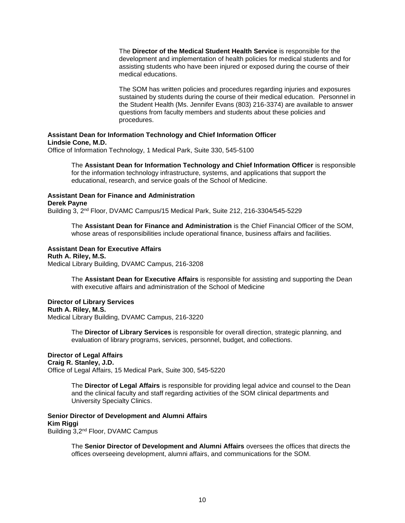The **Director of the Medical Student Health Service** is responsible for the development and implementation of health policies for medical students and for assisting students who have been injured or exposed during the course of their medical educations.

The SOM has written policies and procedures regarding injuries and exposures sustained by students during the course of their medical education. Personnel in the Student Health (Ms. Jennifer Evans (803) 216-3374) are available to answer questions from faculty members and students about these policies and procedures.

## **Assistant Dean for Information Technology and Chief Information Officer Lindsie Cone, M.D.**

Office of Information Technology, 1 Medical Park, Suite 330, 545-5100

The **Assistant Dean for Information Technology and Chief Information Officer** is responsible for the information technology infrastructure, systems, and applications that support the educational, research, and service goals of the School of Medicine.

## **Assistant Dean for Finance and Administration**

#### **Derek Payne**

Building 3, 2<sup>nd</sup> Floor, DVAMC Campus/15 Medical Park, Suite 212, 216-3304/545-5229

The **Assistant Dean for Finance and Administration** is the Chief Financial Officer of the SOM, whose areas of responsibilities include operational finance, business affairs and facilities.

## **Assistant Dean for Executive Affairs**

#### **Ruth A. Riley, M.S.**

Medical Library Building, DVAMC Campus, 216-3208

The **Assistant Dean for Executive Affairs** is responsible for assisting and supporting the Dean with executive affairs and administration of the School of Medicine

#### **Director of Library Services**

#### **Ruth A. Riley, M.S.**

Medical Library Building, DVAMC Campus, 216-3220

The **Director of Library Services** is responsible for overall direction, strategic planning, and evaluation of library programs, services, personnel, budget, and collections.

## **Director of Legal Affairs**

## **Craig R. Stanley, J.D.**

Office of Legal Affairs, 15 Medical Park, Suite 300, 545-5220

The **Director of Legal Affairs** is responsible for providing legal advice and counsel to the Dean and the clinical faculty and staff regarding activities of the SOM clinical departments and University Specialty Clinics.

**Senior Director of Development and Alumni Affairs Kim Riggi** Building 3,2<sup>nd</sup> Floor, DVAMC Campus

> The **Senior Director of Development and Alumni Affairs** oversees the offices that directs the offices overseeing development, alumni affairs, and communications for the SOM.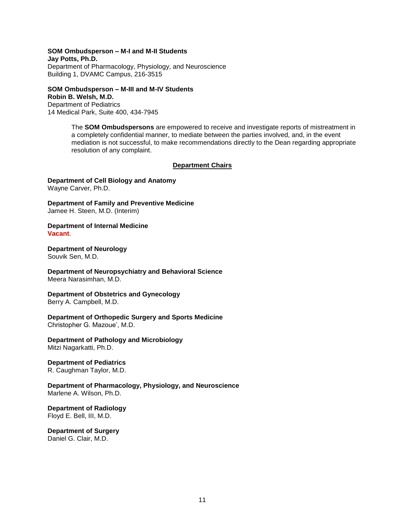#### **SOM Ombudsperson – M-I and M-II Students**

**Jay Potts, Ph.D.** Department of Pharmacology, Physiology, and Neuroscience Building 1, DVAMC Campus, 216-3515

#### **SOM Ombudsperson – M-III and M-IV Students Robin B. Welsh, M.D.**

Department of Pediatrics 14 Medical Park, Suite 400, 434-7945

> The **SOM Ombudspersons** are empowered to receive and investigate reports of mistreatment in a completely confidential manner, to mediate between the parties involved, and, in the event mediation is not successful, to make recommendations directly to the Dean regarding appropriate resolution of any complaint.

#### **Department Chairs**

**Department of Cell Biology and Anatomy** Wayne Carver, Ph.D.

**Department of Family and Preventive Medicine** Jamee H. Steen, M.D. (Interim)

**Department of Internal Medicine Vacant**.

**Department of Neurology** Souvik Sen, M.D.

**Department of Neuropsychiatry and Behavioral Science** Meera Narasimhan, M.D.

**Department of Obstetrics and Gynecology** Berry A. Campbell, M.D.

**Department of Orthopedic Surgery and Sports Medicine** Christopher G. Mazoue', M.D.

**Department of Pathology and Microbiology** Mitzi Nagarkatti, Ph.D.

## **Department of Pediatrics**

R. Caughman Taylor, M.D.

**Department of Pharmacology, Physiology, and Neuroscience** Marlene A. Wilson, Ph.D.

**Department of Radiology** Floyd E. Bell, III, M.D.

**Department of Surgery** Daniel G. Clair, M.D.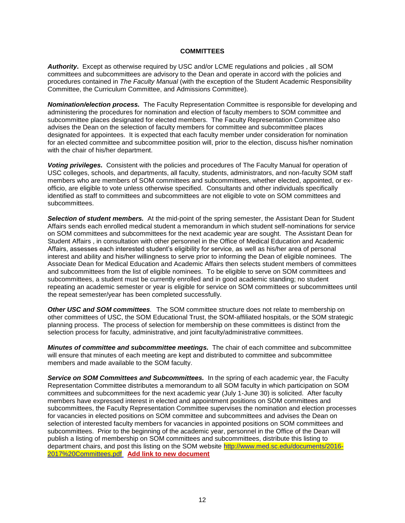#### **COMMITTEES**

*Authority***.** Except as otherwise required by USC and/or LCME regulations and policies , all SOM committees and subcommittees are advisory to the Dean and operate in accord with the policies and procedures contained in *The Faculty Manual* (with the exception of the Student Academic Responsibility Committee, the Curriculum Committee, and Admissions Committee)*.*

*Nomination/election process.* The Faculty Representation Committee is responsible for developing and administering the procedures for nomination and election of faculty members to SOM committee and subcommittee places designated for elected members. The Faculty Representation Committee also advises the Dean on the selection of faculty members for committee and subcommittee places designated for appointees. It is expected that each faculty member under consideration for nomination for an elected committee and subcommittee position will, prior to the election, discuss his/her nomination with the chair of his/her department.

*Voting privileges.* Consistent with the policies and procedures of The Faculty Manual for operation of USC colleges, schools, and departments, all faculty, students, administrators, and non-faculty SOM staff members who are members of SOM committees and subcommittees, whether elected, appointed, or exofficio, are eligible to vote unless otherwise specified. Consultants and other individuals specifically identified as staff to committees and subcommittees are not eligible to vote on SOM committees and subcommittees.

*Selection of student members.* At the mid-point of the spring semester, the Assistant Dean for Student Affairs sends each enrolled medical student a memorandum in which student self-nominations for service on SOM committees and subcommittees for the next academic year are sought. The Assistant Dean for Student Affairs , in consultation with other personnel in the Office of Medical Education and Academic Affairs, assesses each interested student's eligibility for service, as well as his/her area of personal interest and ability and his/her willingness to serve prior to informing the Dean of eligible nominees. The Associate Dean for Medical Education and Academic Affairs then selects student members of committees and subcommittees from the list of eligible nominees. To be eligible to serve on SOM committees and subcommittees, a student must be currently enrolled and in good academic standing; no student repeating an academic semester or year is eligible for service on SOM committees or subcommittees until the repeat semester/year has been completed successfully.

*Other USC and SOM committees.* The SOM committee structure does not relate to membership on other committees of USC, the SOM Educational Trust, the SOM-affiliated hospitals, or the SOM strategic planning process. The process of selection for membership on these committees is distinct from the selection process for faculty, administrative, and joint faculty/administrative committees.

*Minutes of committee and subcommittee meetings.* The chair of each committee and subcommittee will ensure that minutes of each meeting are kept and distributed to committee and subcommittee members and made available to the SOM faculty.

**Service on SOM Committees and Subcommittees.** In the spring of each academic year, the Faculty Representation Committee distributes a memorandum to all SOM faculty in which participation on SOM committees and subcommittees for the next academic year (July 1-June 30) is solicited. After faculty members have expressed interest in elected and appointment positions on SOM committees and subcommittees, the Faculty Representation Committee supervises the nomination and election processes for vacancies in elected positions on SOM committee and subcommittees and advises the Dean on selection of interested faculty members for vacancies in appointed positions on SOM committees and subcommittees. Prior to the beginning of the academic year, personnel in the Office of the Dean will publish a listing of membership on SOM committees and subcommittees, distribute this listing to department chairs, and post this listing on the SOM website [http://www.med.sc.edu/documents/2016-](http://www.med.sc.edu/documents/2016-2017%20Committees.pdf) [2017%20Committees.pdf](http://www.med.sc.edu/documents/2016-2017%20Committees.pdf) **Add link to new document**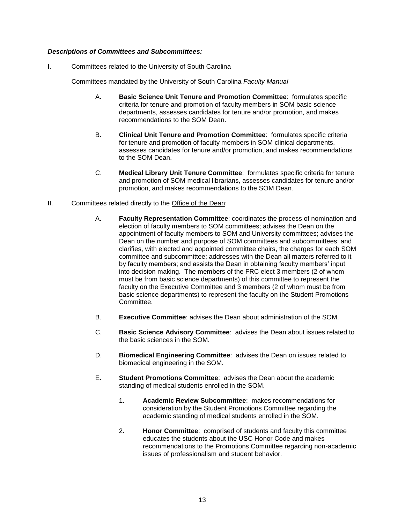## *Descriptions of Committees and Subcommittees:*

I. Committees related to the University of South Carolina

Committees mandated by the University of South Carolina *Faculty Manual*

- A. **Basic Science Unit Tenure and Promotion Committee**: formulates specific criteria for tenure and promotion of faculty members in SOM basic science departments, assesses candidates for tenure and/or promotion, and makes recommendations to the SOM Dean.
- B. **Clinical Unit Tenure and Promotion Committee**: formulates specific criteria for tenure and promotion of faculty members in SOM clinical departments, assesses candidates for tenure and/or promotion, and makes recommendations to the SOM Dean.
- C. **Medical Library Unit Tenure Committee**: formulates specific criteria for tenure and promotion of SOM medical librarians, assesses candidates for tenure and/or promotion, and makes recommendations to the SOM Dean.
- II. Committees related directly to the Office of the Dean:
	- A. **Faculty Representation Committee**: coordinates the process of nomination and election of faculty members to SOM committees; advises the Dean on the appointment of faculty members to SOM and University committees; advises the Dean on the number and purpose of SOM committees and subcommittees; and clarifies, with elected and appointed committee chairs, the charges for each SOM committee and subcommittee; addresses with the Dean all matters referred to it by faculty members; and assists the Dean in obtaining faculty members' input into decision making. The members of the FRC elect 3 members (2 of whom must be from basic science departments) of this committee to represent the faculty on the Executive Committee and 3 members (2 of whom must be from basic science departments) to represent the faculty on the Student Promotions Committee.
	- B. **Executive Committee**: advises the Dean about administration of the SOM.
	- C. **Basic Science Advisory Committee**: advises the Dean about issues related to the basic sciences in the SOM.
	- D. **Biomedical Engineering Committee**: advises the Dean on issues related to biomedical engineering in the SOM.
	- E. **Student Promotions Committee**: advises the Dean about the academic standing of medical students enrolled in the SOM.
		- 1. **Academic Review Subcommittee**: makes recommendations for consideration by the Student Promotions Committee regarding the academic standing of medical students enrolled in the SOM.
		- 2. **Honor Committee**: comprised of students and faculty this committee educates the students about the USC Honor Code and makes recommendations to the Promotions Committee regarding non-academic issues of professionalism and student behavior.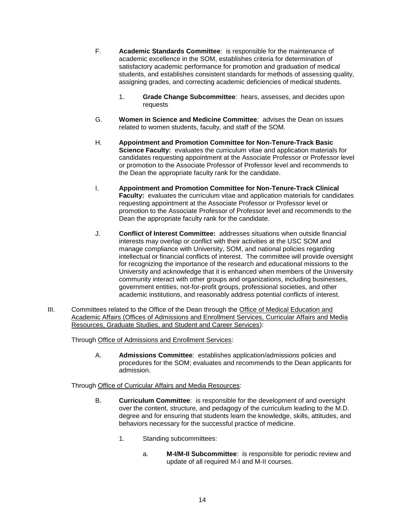- F. **Academic Standards Committee**: is responsible for the maintenance of academic excellence in the SOM, establishes criteria for determination of satisfactory academic performance for promotion and graduation of medical students, and establishes consistent standards for methods of assessing quality, assigning grades, and correcting academic deficiencies of medical students.
	- 1. **Grade Change Subcommittee**: hears, assesses, and decides upon requests
- G. **Women in Science and Medicine Committee**: advises the Dean on issues related to women students, faculty, and staff of the SOM.
- H. **Appointment and Promotion Committee for Non-Tenure-Track Basic Science Faculty:** evaluates the curriculum vitae and application materials for candidates requesting appointment at the Associate Professor or Professor level or promotion to the Associate Professor of Professor level and recommends to the Dean the appropriate faculty rank for the candidate.
- I. **Appointment and Promotion Committee for Non-Tenure-Track Clinical Faculty:** evaluates the curriculum vitae and application materials for candidates requesting appointment at the Associate Professor or Professor level or promotion to the Associate Professor of Professor level and recommends to the Dean the appropriate faculty rank for the candidate.
- J. **Conflict of Interest Committee:** addresses situations when outside financial interests may overlap or conflict with their activities at the USC SOM and manage compliance with University, SOM, and national policies regarding intellectual or financial conflicts of interest. The committee will provide oversight for recognizing the importance of the research and educational missions to the University and acknowledge that it is enhanced when members of the University community interact with other groups and organizations, including businesses, government entities, not-for-profit groups, professional societies, and other academic institutions, and reasonably address potential conflicts of interest.
- III. Committees related to the Office of the Dean through the Office of Medical Education and Academic Affairs (Offices of Admissions and Enrollment Services, Curricular Affairs and Media Resources, Graduate Studies, and Student and Career Services):

Through Office of Admissions and Enrollment Services:

A. **Admissions Committee**: establishes application/admissions policies and procedures for the SOM; evaluates and recommends to the Dean applicants for admission.

Through Office of Curricular Affairs and Media Resources:

- B. **Curriculum Committee**: is responsible for the development of and oversight over the content, structure, and pedagogy of the curriculum leading to the M.D. degree and for ensuring that students learn the knowledge, skills, attitudes, and behaviors necessary for the successful practice of medicine.
	- 1. Standing subcommittees:
		- a. **M-I/M-II Subcommittee**: is responsible for periodic review and update of all required M-I and M-II courses.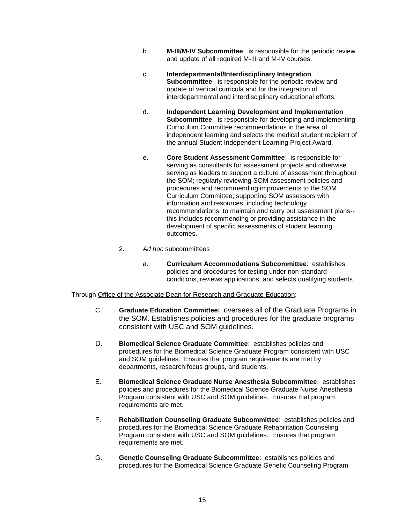- b. **M-III/M-IV Subcommittee**: is responsible for the periodic review and update of all required M-III and M-IV courses.
- c. **Interdepartmental/Interdisciplinary Integration Subcommittee:** is responsible for the periodic review and update of vertical curricula and for the integration of interdepartmental and interdisciplinary educational efforts.
- d. **Independent Learning Development and Implementation Subcommittee**: is responsible for developing and implementing Curriculum Committee recommendations in the area of independent learning and selects the medical student recipient of the annual Student Independent Learning Project Award.
- e. **Core Student Assessment Committee**: is responsible for serving as consultants for assessment projects and otherwise serving as leaders to support a culture of assessment throughout the SOM; regularly reviewing SOM assessment policies and procedures and recommending improvements to the SOM Curriculum Committee; supporting SOM assessors with information and resources, including technology recommendations, to maintain and carry out assessment plans- this includes recommending or providing assistance in the development of specific assessments of student learning outcomes.
- 2. *Ad hoc* subcommittees
	- a. **Curriculum Accommodations Subcommittee**: establishes policies and procedures for testing under non-standard conditions, reviews applications, and selects qualifying students.

Through Office of the Associate Dean for Research and Graduate Education:

- C. **Graduate Education Committee:** oversees all of the Graduate Programs in the SOM. Establishes policies and procedures for the graduate programs consistent with USC and SOM guidelines.
- D. **Biomedical Science Graduate Committee**: establishes policies and procedures for the Biomedical Science Graduate Program consistent with USC and SOM guidelines. Ensures that program requirements are met by departments, research focus groups, and students.
- E. **Biomedical Science Graduate Nurse Anesthesia Subcommittee**: establishes policies and procedures for the Biomedical Science Graduate Nurse Anesthesia Program consistent with USC and SOM guidelines. Ensures that program requirements are met.
- F. **Rehabilitation Counseling Graduate Subcommittee**: establishes policies and procedures for the Biomedical Science Graduate Rehabilitation Counseling Program consistent with USC and SOM guidelines. Ensures that program requirements are met.
- G. **Genetic Counseling Graduate Subcommittee**: establishes policies and procedures for the Biomedical Science Graduate Genetic Counseling Program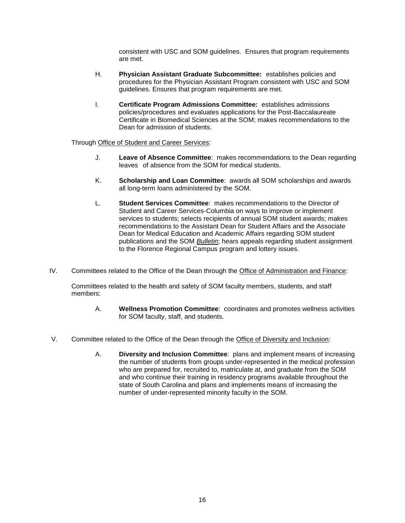consistent with USC and SOM guidelines. Ensures that program requirements are met.

- H. **Physician Assistant Graduate Subcommittee:** establishes policies and procedures for the Physician Assistant Program consistent with USC and SOM guidelines. Ensures that program requirements are met.
- I. **Certificate Program Admissions Committee:** establishes admissions policies/procedures and evaluates applications for the Post-Baccalaureate Certificate in Biomedical Sciences at the SOM; makes recommendations to the Dean for admission of students.

## Through Office of Student and Career Services:

- J. **Leave of Absence Committee**: makes recommendations to the Dean regarding leaves of absence from the SOM for medical students.
- K. **Scholarship and Loan Committee**: awards all SOM scholarships and awards all long-term loans administered by the SOM.
- L. **Student Services Committee**: makes recommendations to the Director of Student and Career Services-Columbia on ways to improve or implement services to students; selects recipients of annual SOM student awards; makes recommendations to the Assistant Dean for Student Affairs and the Associate Dean for Medical Education and Academic Affairs regarding SOM student publications and the SOM *Bulletin*; hears appeals regarding student assignment to the Florence Regional Campus program and lottery issues.
- IV. Committees related to the Office of the Dean through the Office of Administration and Finance:

Committees related to the health and safety of SOM faculty members, students, and staff members:

- A. **Wellness Promotion Committee**: coordinates and promotes wellness activities for SOM faculty, staff, and students.
- V. Committee related to the Office of the Dean through the Office of Diversity and Inclusion:
	- A. **Diversity and Inclusion Committee**: plans and implement means of increasing the number of students from groups under-represented in the medical profession who are prepared for, recruited to, matriculate at, and graduate from the SOM and who continue their training in residency programs available throughout the state of South Carolina and plans and implements means of increasing the number of under-represented minority faculty in the SOM.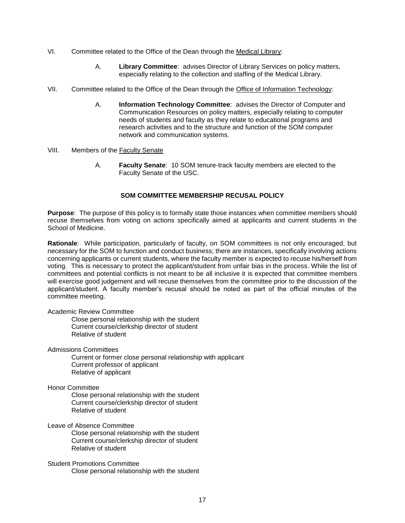- VI. Committee related to the Office of the Dean through the Medical Library:
	- A. **Library Committee**: advises Director of Library Services on policy matters, especially relating to the collection and staffing of the Medical Library.
- VII. Committee related to the Office of the Dean through the Office of Information Technology:
	- A. **Information Technology Committee**: advises the Director of Computer and Communication Resources on policy matters, especially relating to computer needs of students and faculty as they relate to educational programs and research activities and to the structure and function of the SOM computer network and communication systems.
- VIII. Members of the Faculty Senate
	- A. **Faculty Senate**: 10 SOM tenure-track faculty members are elected to the Faculty Senate of the USC.

## **SOM COMMITTEE MEMBERSHIP RECUSAL POLICY**

**Purpose**: The purpose of this policy is to formally state those instances when committee members should recuse themselves from voting on actions specifically aimed at applicants and current students in the School of Medicine.

**Rationale**: While participation, particularly of faculty, on SOM committees is not only encouraged, but necessary for the SOM to function and conduct business; there are instances, specifically involving actions concerning applicants or current students, where the faculty member is expected to recuse his/herself from voting. This is necessary to protect the applicant/student from unfair bias in the process. While the list of committees and potential conflicts is not meant to be all inclusive it is expected that committee members will exercise good judgement and will recuse themselves from the committee prior to the discussion of the applicant/student. A faculty member's recusal should be noted as part of the official minutes of the committee meeting.

#### Academic Review Committee

Close personal relationship with the student Current course/clerkship director of student Relative of student

Admissions Committees

Current or former close personal relationship with applicant Current professor of applicant Relative of applicant

## Honor Committee

Close personal relationship with the student Current course/clerkship director of student Relative of student

Leave of Absence Committee

Close personal relationship with the student Current course/clerkship director of student Relative of student

## Student Promotions Committee

Close personal relationship with the student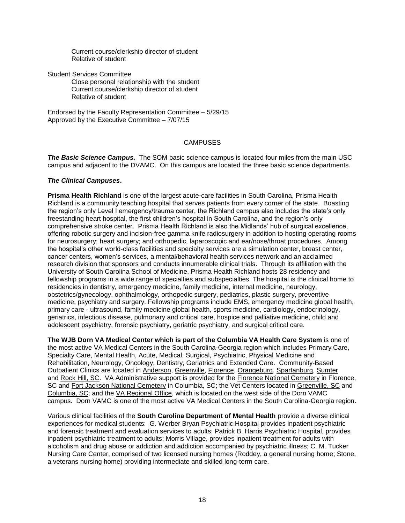Current course/clerkship director of student Relative of student

Student Services Committee

Close personal relationship with the student Current course/clerkship director of student Relative of student

Endorsed by the Faculty Representation Committee – 5/29/15 Approved by the Executive Committee – 7/07/15

## **CAMPUSES**

*The Basic Science Campus.* The SOM basic science campus is located four miles from the main USC campus and adjacent to the DVAMC. On this campus are located the three basic science departments.

#### *The Clinical Campuses***.**

**Prisma Health Richland** is one of the largest acute-care facilities in South Carolina, Prisma Health Richland is a community teaching hospital that serves patients from every corner of the state. Boasting the region's only Level I emergency/trauma center, the Richland campus also includes the state's only freestanding heart hospital, the first children's hospital in South Carolina, and the region's only comprehensive stroke center. Prisma Health Richland is also the Midlands' hub of surgical excellence, offering robotic surgery and incision-free gamma knife radiosurgery in addition to hosting operating rooms for neurosurgery; heart surgery; and orthopedic, laparoscopic and ear/nose/throat procedures. Among the hospital's other world-class facilities and specialty services are a simulation center, breast center, cancer centers, women's services, a mental/behavioral health services network and an acclaimed research division that sponsors and conducts innumerable clinical trials. Through its affiliation with the University of South Carolina School of Medicine, Prisma Health Richland hosts 28 residency and fellowship programs in a wide range of specialties and subspecialties. The hospital is the clinical home to residencies in dentistry, emergency medicine, family medicine, internal medicine, neurology, obstetrics/gynecology, ophthalmology, orthopedic surgery, pediatrics, plastic surgery, preventive medicine, psychiatry and surgery. Fellowship programs include EMS, emergency medicine global health, primary care - ultrasound, family medicine global health, sports medicine, cardiology, endocrinology, geriatrics, infectious disease, pulmonary and critical care, hospice and palliative medicine, child and adolescent psychiatry, forensic psychiatry, geriatric psychiatry, and surgical critical care.

**The WJB Dorn VA Medical Center which is part of the Columbia VA Health Care System** is one of the most active VA Medical Centers in the South Carolina-Georgia region which includes Primary Care, Specialty Care, Mental Health, Acute, Medical, Surgical, Psychiatric, Physical Medicine and Rehabilitation, Neurology, Oncology, Dentistry, Geriatrics and Extended Care. Community-Based Outpatient Clinics are located in [Anderson,](http://www.columbiasc.va.gov/COLUMBIASC/visitors/andersonCBOC.asp) [Greenville,](http://www.columbiasc.va.gov/columbiasc/visitors/greenville.asp) [Florence,](http://www.columbiasc.va.gov/COLUMBIASC/visitors/FlorenceCBOC.asp) [Orangeburg,](http://www.columbiasc.va.gov/COLUMBIASC/visitors/orangeburg.asp) [Spartanburg,](http://www.columbiasc.va.gov/COLUMBIASC/visitors/Spartanburg.asp) [Sumter](http://www.columbiasc.va.gov/columbiasc/visitors/sumter.asp) and [Rock Hill, SC.](http://www.columbiasc.va.gov/COLUMBIASC/visitors/rockhill.asp) VA Administrative support is provided for the [Florence National Cemetery](http://www.cem.va.gov/CEM/cems/nchp/florence.asp) in Florence, SC and [Fort Jackson National Cemetery](http://www.cem.va.gov/CEM/cems/nchp/ftjackson.asp) in Columbia, SC; the Vet Centers located in [Greenville, SC](http://www2.va.gov/directory/guide/facility.asp?ID=410&dnum=All) and [Columbia, SC;](http://www2.va.gov/directory/guide/facility.asp?ID=409&dnum=All) and the [VA Regional Office,](http://www2.va.gov/directory/guide/facility.asp?ID=692&dnum=All) which is located on the west side of the Dorn VAMC campus. Dorn VAMC is one of the most active VA Medical Centers in the South Carolina-Georgia region.

Various clinical facilities of the **South Carolina Department of Mental Health** provide a diverse clinical experiences for medical students: G. Werber Bryan Psychiatric Hospital provides inpatient psychiatric and forensic treatment and evaluation services to adults; Patrick B. Harris Psychiatric Hospital, provides inpatient psychiatric treatment to adults; Morris Village, provides inpatient treatment for adults with alcoholism and drug abuse or addiction and addiction accompanied by psychiatric illness; C. M. Tucker Nursing Care Center, comprised of two licensed nursing homes (Roddey, a general nursing home; Stone, a veterans nursing home) providing intermediate and skilled long-term care.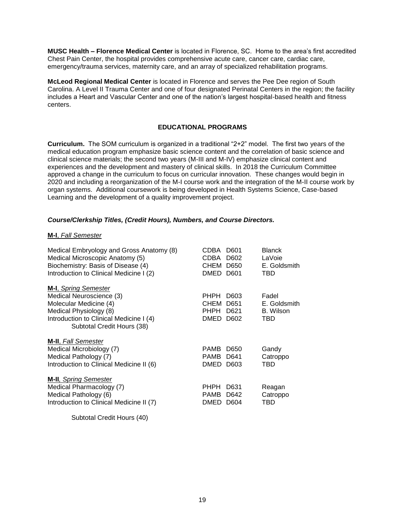**MUSC Health – Florence Medical Center** is located in Florence, SC. Home to the area's first accredited Chest Pain Center, the hospital provides comprehensive acute care, cancer care, cardiac care, emergency/trauma services, maternity care, and an array of specialized rehabilitation programs.

**McLeod Regional Medical Center** is located in Florence and serves the Pee Dee region of South Carolina. A Level II Trauma Center and one of four designated Perinatal Centers in the region; the facility includes a Heart and Vascular Center and one of the nation's largest hospital-based health and fitness centers.

## **EDUCATIONAL PROGRAMS**

**Curriculum.** The SOM curriculum is organized in a traditional "2+2" model. The first two years of the medical education program emphasize basic science content and the correlation of basic science and clinical science materials; the second two years (M-III and M-IV) emphasize clinical content and experiences and the development and mastery of clinical skills. In 2018 the Curriculum Committee approved a change in the curriculum to focus on curricular innovation. These changes would begin in 2020 and including a reorganization of the M-I course work and the integration of the M-II course work by organ systems. Additional coursework is being developed in Health Systems Science, Case-based Learning and the development of a quality improvement project.

## *Course/Clerkship Titles, (Credit Hours), Numbers, and Course Directors.*

#### **M-I**, *Fall Semester*

| Medical Embryology and Gross Anatomy (8)<br>Medical Microscopic Anatomy (5)<br>Biochemistry: Basis of Disease (4)<br>Introduction to Clinical Medicine I (2)                          | CDBA<br>D601<br>D602<br>CDBA<br>CHEM<br>D650<br><b>DMED</b><br>D601               | <b>Blanck</b><br>LaVoie<br>E. Goldsmith<br>TBD |
|---------------------------------------------------------------------------------------------------------------------------------------------------------------------------------------|-----------------------------------------------------------------------------------|------------------------------------------------|
| <b>M-I</b> , Spring Semester<br>Medical Neuroscience (3)<br>Molecular Medicine (4)<br>Medical Physiology (8)<br>Introduction to Clinical Medicine I (4)<br>Subtotal Credit Hours (38) | <b>PHPH</b><br>D603<br>CHEM<br>D651<br><b>PHPH</b><br>D621<br><b>DMED</b><br>D602 | Fadel<br>E. Goldsmith<br>B. Wilson<br>TBD      |
| <b>M-II</b> , Fall Semester<br>Medical Microbiology (7)<br>Medical Pathology (7)<br>Introduction to Clinical Medicine II (6)                                                          | <b>PAMB</b><br>D650<br><b>PAMB</b><br>D641<br><b>DMED</b><br>D603                 | Gandy<br>Catroppo<br>TBD                       |
| <b>M-II</b> , Spring Semester<br>Medical Pharmacology (7)<br>Medical Pathology (6)<br>Introduction to Clinical Medicine II (7)                                                        | <b>PHPH</b><br>D631<br><b>PAMB</b><br>D642<br><b>DMED</b><br>D604                 | Reagan<br>Catroppo<br>TBD                      |
| Subtotal Credit Hours (40)                                                                                                                                                            |                                                                                   |                                                |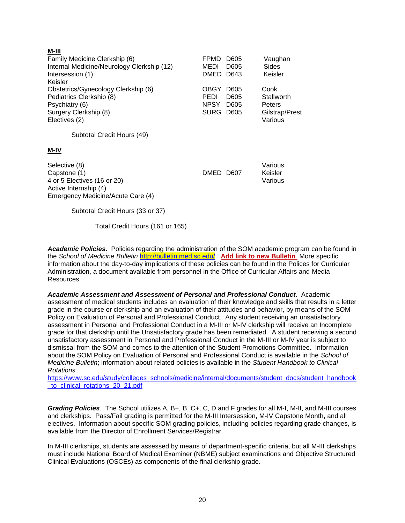## **M-III**

| Family Medicine Clerkship (6)<br>Internal Medicine/Neurology Clerkship (12)<br>Intersession (1)<br>Keisler                  | D605<br>FPMD<br>MEDI<br>D605<br>DMED<br>D643                               | Vaughan<br>Sides<br>Keisler                               |
|-----------------------------------------------------------------------------------------------------------------------------|----------------------------------------------------------------------------|-----------------------------------------------------------|
| Obstetrics/Gynecology Clerkship (6)<br>Pediatrics Clerkship (8)<br>Psychiatry (6)<br>Surgery Clerkship (8)<br>Electives (2) | OBGY<br>D605<br>PEDI<br>D605<br><b>NPSY</b><br>D605<br><b>SURG</b><br>D605 | Cook<br>Stallworth<br>Peters<br>Gilstrap/Prest<br>Various |
| Subtotal Credit Hours (49)                                                                                                  |                                                                            |                                                           |
| M-IV                                                                                                                        |                                                                            |                                                           |
| Selective (8)<br>Capstone (1)<br>4 or 5 Electives (16 or 20)<br>Active Internship (4)<br>Emergency Medicine/Acute Care (4)  | DMED D607                                                                  | Various<br>Keisler<br>Various                             |
| Subtotal Credit Hours (33 or 37)                                                                                            |                                                                            |                                                           |

Total Credit Hours (161 or 165)

*Academic Policies***.** Policies regarding the administration of the SOM academic program can be found in the *School of Medicine Bulletin* [http://bulletin.med.sc.edu/.](http://bulletin.med.sc.edu/) **Add link to new Bulletin** More specific information about the day-to-day implications of these policies can be found in the Polices for Curricular Administration, a document available from personnel in the Office of Curricular Affairs and Media Resources.

*Academic Assessment and Assessment of Personal and Professional Conduct*. Academic assessment of medical students includes an evaluation of their knowledge and skills that results in a letter grade in the course or clerkship and an evaluation of their attitudes and behavior, by means of the SOM Policy on Evaluation of Personal and Professional Conduct. Any student receiving an unsatisfactory assessment in Personal and Professional Conduct in a M-III or M-IV clerkship will receive an Incomplete grade for that clerkship until the Unsatisfactory grade has been remediated. A student receiving a second unsatisfactory assessment in Personal and Professional Conduct in the M-III or M-IV year is subject to dismissal from the SOM and comes to the attention of the Student Promotions Committee. Information about the SOM Policy on Evaluation of Personal and Professional Conduct is available in the *School of Medicine Bulletin*; information about related policies is available in the *Student Handbook to Clinical Rotations*

[https://www.sc.edu/study/colleges\\_schools/medicine/internal/documents/student\\_docs/student\\_handbook](https://www.sc.edu/study/colleges_schools/medicine/internal/documents/student_docs/student_handbook_to_clinical_rotations_20_21.pdf) to clinical rotations 20 21.pdf

*Grading Policies*. The School utilizes A, B+, B, C+, C, D and F grades for all M-I, M-II, and M-III courses and clerkships. Pass/Fail grading is permitted for the M-III Intersession, M-IV Capstone Month, and all electives. Information about specific SOM grading policies, including policies regarding grade changes, is available from the Director of Enrollment Services/Registrar.

In M-III clerkships, students are assessed by means of department-specific criteria, but all M-III clerkships must include National Board of Medical Examiner (NBME) subject examinations and Objective Structured Clinical Evaluations (OSCEs) as components of the final clerkship grade.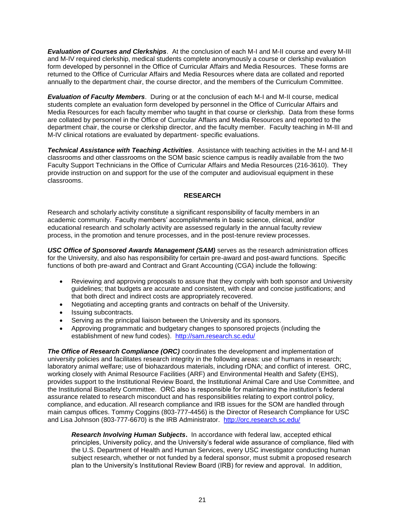*Evaluation of Courses and Clerkships*. At the conclusion of each M-I and M-II course and every M-III and M-IV required clerkship, medical students complete anonymously a course or clerkship evaluation form developed by personnel in the Office of Curricular Affairs and Media Resources. These forms are returned to the Office of Curricular Affairs and Media Resources where data are collated and reported annually to the department chair, the course director, and the members of the Curriculum Committee.

*Evaluation of Faculty Members*. During or at the conclusion of each M-I and M-II course, medical students complete an evaluation form developed by personnel in the Office of Curricular Affairs and Media Resources for each faculty member who taught in that course or clerkship. Data from these forms are collated by personnel in the Office of Curricular Affairs and Media Resources and reported to the department chair, the course or clerkship director, and the faculty member. Faculty teaching in M-III and M-IV clinical rotations are evaluated by department- specific evaluations.

*Technical Assistance with Teaching Activities*. Assistance with teaching activities in the M-I and M-II classrooms and other classrooms on the SOM basic science campus is readily available from the two Faculty Support Technicians in the Office of Curricular Affairs and Media Resources (216-3610). They provide instruction on and support for the use of the computer and audiovisual equipment in these classrooms.

## **RESEARCH**

Research and scholarly activity constitute a significant responsibility of faculty members in an academic community. Faculty members' accomplishments in basic science, clinical, and/or educational research and scholarly activity are assessed regularly in the annual faculty review process, in the promotion and tenure processes, and in the post-tenure review processes.

*USC Office of Sponsored Awards Management (SAM)* serves as the research administration offices for the University, and also has responsibility for certain pre-award and post-award functions. Specific functions of both pre-award and Contract and Grant Accounting (CGA) include the following:

- Reviewing and approving proposals to assure that they comply with both sponsor and University guidelines; that budgets are accurate and consistent, with clear and concise justifications; and that both direct and indirect costs are appropriately recovered.
- Negotiating and accepting grants and contracts on behalf of the University.
- Issuing subcontracts.
- Serving as the principal liaison between the University and its sponsors.
- Approving programmatic and budgetary changes to sponsored projects (including the establishment of new fund codes). <http://sam.research.sc.edu/>

*The Office of Research Compliance (ORC)* coordinates the development and implementation of university policies and facilitates research integrity in the following areas: use of humans in research; laboratory animal welfare; use of biohazardous materials, including rDNA; and conflict of interest. ORC, working closely with Animal Resource Facilities (ARF) and Environmental Health and Safety (EHS), provides support to the Institutional Review Board, the Institutional Animal Care and Use Committee, and the Institutional Biosafety Committee. ORC also is responsible for maintaining the institution's federal assurance related to research misconduct and has responsibilities relating to export control policy, compliance, and education. All research compliance and IRB issues for the SOM are handled through main campus offices. Tommy Coggins (803-777-4456) is the Director of Research Compliance for USC and Lisa Johnson (803-777-6670) is the IRB Administrator. <http://orc.research.sc.edu/>

*Research Involving Human Subjects***.** In accordance with federal law, accepted ethical principles, University policy, and the University's federal wide assurance of compliance, filed with the U.S. Department of Health and Human Services, every USC investigator conducting human subject research, whether or not funded by a federal sponsor, must submit a proposed research plan to the University's Institutional Review Board (IRB) for review and approval. In addition,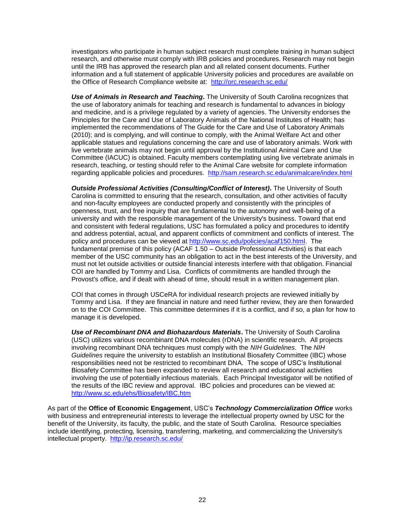investigators who participate in human subject research must complete training in human subject research, and otherwise must comply with IRB policies and procedures. Research may not begin until the IRB has approved the research plan and all related consent documents. Further information and a full statement of applicable University policies and procedures are available on the Office of Research Compliance website at: <http://orc.research.sc.edu/>

**Use of Animals in Research and Teaching.** The University of South Carolina recognizes that the use of laboratory animals for teaching and research is fundamental to advances in biology and medicine, and is a privilege regulated by a variety of agencies. The University endorses the Principles for the Care and Use of Laboratory Animals of the National Institutes of Health; has implemented the recommendations of The Guide for the Care and Use of Laboratory Animals (2010); and is complying, and will continue to comply, with the Animal Welfare Act and other applicable statues and regulations concerning the care and use of laboratory animals. Work with live vertebrate animals may not begin until approval by the Institutional Animal Care and Use Committee (IACUC) is obtained. Faculty members contemplating using live vertebrate animals in research, teaching, or testing should refer to the Animal Care website for complete information regarding applicable policies and procedures. <http://sam.research.sc.edu/animalcare/index.html>

*Outside Professional Activities (Consulting/Conflict of Interest)***.** The University of South Carolina is committed to ensuring that the research, consultation, and other activities of faculty and non-faculty employees are conducted properly and consistently with the principles of openness, trust, and free inquiry that are fundamental to the autonomy and well-being of a university and with the responsible management of the University's business. Toward that end and consistent with federal regulations, USC has formulated a policy and procedures to identify and address potential, actual, and apparent conflicts of commitment and conflicts of interest. The policy and procedures can be viewed at [http://www.sc.edu/policies/acaf150.html.](http://www.sc.edu/policies/acaf150.html) The fundamental premise of this policy (ACAF 1.50 – Outside Professional Activities) is that each member of the USC community has an obligation to act in the best interests of the University, and must not let outside activities or outside financial interests interfere with that obligation. Financial COI are handled by Tommy and Lisa. Conflicts of commitments are handled through the Provost's office, and if dealt with ahead of time, should result in a written management plan.

COI that comes in through USCeRA for individual research projects are reviewed initially by Tommy and Lisa. If they are financial in nature and need further review, they are then forwarded on to the COI Committee. This committee determines if it is a conflict, and if so, a plan for how to manage it is developed.

*Use of Recombinant DNA and Biohazardous Materials***.** The University of South Carolina (USC) utilizes various recombinant DNA molecules (rDNA) in scientific research. All projects involving recombinant DNA techniques must comply with the *NIH Guidelines*. The *NIH Guidelines* require the university to establish an Institutional Biosafety Committee (IBC) whose responsibilities need not be restricted to recombinant DNA. The scope of USC's Institutional Biosafety Committee has been expanded to review all research and educational activities involving the use of potentially infectious materials. Each Principal Investigator will be notified of the results of the IBC review and approval. IBC policies and procedures can be viewed at: <http://www.sc.edu/ehs/Biosafety/IBC.htm>

As part of the **Office of Economic Engagement**, USC's *Technology Commercialization Office* works with business and entrepreneurial interests to leverage the intellectual property owned by USC for the benefit of the University, its faculty, the public, and the state of South Carolina. Resource specialties include identifying, protecting, licensing, transferring, marketing, and commercializing the University's intellectual property. <http://ip.research.sc.edu/>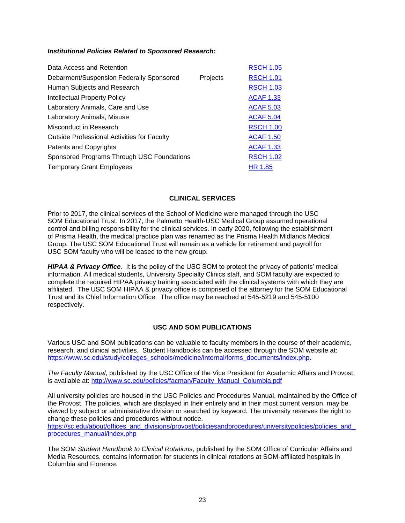## *Institutional Policies Related to Sponsored Research***:**

| Data Access and Retention                          |          | <b>RSCH 1.05</b> |
|----------------------------------------------------|----------|------------------|
| Debarment/Suspension Federally Sponsored           | Projects | <b>RSCH 1.01</b> |
| Human Subjects and Research                        |          | <b>RSCH 1.03</b> |
| <b>Intellectual Property Policy</b>                |          | <b>ACAF 1.33</b> |
| Laboratory Animals, Care and Use                   |          | <b>ACAF 5.03</b> |
| Laboratory Animals, Misuse                         |          | <b>ACAF 5.04</b> |
| Misconduct in Research                             |          | <b>RSCH 1.00</b> |
| <b>Outside Professional Activities for Faculty</b> |          | <b>ACAF 1.50</b> |
| <b>Patents and Copyrights</b>                      |          | <b>ACAF 1.33</b> |
| Sponsored Programs Through USC Foundations         |          | <b>RSCH 1.02</b> |
| <b>Temporary Grant Employees</b>                   |          | HR 1.85          |

## **CLINICAL SERVICES**

Prior to 2017, the clinical services of the School of Medicine were managed through the USC SOM Educational Trust. In 2017, the Palmetto Health-USC Medical Group assumed operational control and billing responsibility for the clinical services. In early 2020, following the establishment of Prisma Health, the medical practice plan was renamed as the Prisma Health Midlands Medical Group. The USC SOM Educational Trust will remain as a vehicle for retirement and payroll for USC SOM faculty who will be leased to the new group.

*HIPAA & Privacy Office.* It is the policy of the USC SOM to protect the privacy of patients' medical information. All medical students, University Specialty Clinics staff, and SOM faculty are expected to complete the required HIPAA privacy training associated with the clinical systems with which they are affiliated. The USC SOM HIPAA & privacy office is comprised of the attorney for the SOM Educational Trust and its Chief Information Office. The office may be reached at 545-5219 and 545-5100 respectively.

## **USC AND SOM PUBLICATIONS**

Various USC and SOM publications can be valuable to faculty members in the course of their academic, research, and clinical activities. Student Handbooks can be accessed through the SOM website at: [https://www.sc.edu/study/colleges\\_schools/medicine/internal/forms\\_documents/index.php.](https://www.sc.edu/study/colleges_schools/medicine/internal/forms_documents/index.php)

*The Faculty Manual*, published by the USC Office of the Vice President for Academic Affairs and Provost, is available at: [http://www.sc.edu/policies/facman/Faculty\\_Manual\\_Columbia.pdf](http://www.sc.edu/policies/facman/Faculty_Manual_Columbia.pdf)

All university policies are housed in the [USC Policies and Procedures Manual,](http://www.sc.edu/policies/policiesbydivision.php) maintained by the [Office of](http://www.sc.edu/about/offices_and_divisions/provost/index.php)  [the Provost.](http://www.sc.edu/about/offices_and_divisions/provost/index.php) The policies, which are displayed in their entirety and in their most current version, may be viewed by subject or administrative division or searched by keyword. The university reserves the right to change these policies and procedures without notice.

https://sc.edu/about/offices\_and\_divisions/provost/policiesandprocedures/universitypolicies/policies\_and [procedures\\_manual/index.php](https://sc.edu/about/offices_and_divisions/provost/policiesandprocedures/universitypolicies/policies_and_procedures_manual/index.php)

The SOM *Student Handbook to Clinical Rotations*, published by the SOM Office of Curricular Affairs and Media Resources, contains information for students in clinical rotations at SOM-affiliated hospitals in Columbia and Florence.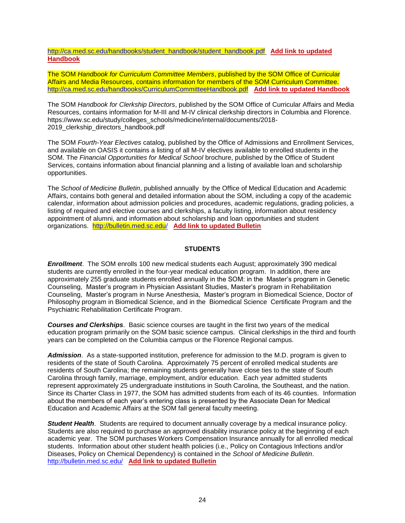[http://ca.med.sc.edu/handbooks/student\\_handbook/student\\_handbook.pdf](http://ca.med.sc.edu/handbooks/student_handbook/student_handbook.pdf) **Add link to updated Handbook**

The SOM *Handbook for Curriculum Committee Members*, published by the SOM Office of Curricular Affairs and Media Resources, contains information for members of the SOM Curriculum Committee. <http://ca.med.sc.edu/handbooks/CurriculumCommitteeHandbook.pdf> **Add link to updated Handbook**

The SOM *Handbook for Clerkship Directors*, published by the SOM Office of Curricular Affairs and Media Resources, contains information for M-III and M-IV clinical clerkship directors in Columbia and Florence. https://www.sc.edu/study/colleges\_schools/medicine/internal/documents/2018- 2019 clerkship directors handbook.pdf

The SOM *Fourth-Year Electives* catalog, published by the Office of Admissions and Enrollment Services, and available on OASIS it contains a listing of all M-IV electives available to enrolled students in the SOM. The *Financial Opportunities for Medical School* brochure, published by the Office of Student Services, contains information about financial planning and a listing of available loan and scholarship opportunities.

The *School of Medicine Bulletin*, published annually by the Office of Medical Education and Academic Affairs, contains both general and detailed information about the SOM, including a copy of the academic calendar, information about admission policies and procedures, academic regulations, grading policies, a listing of required and elective courses and clerkships, a faculty listing, information about residency appointment of alumni, and information about scholarship and loan opportunities and student organizations. <http://bulletin.med.sc.edu/>**Add link to updated Bulletin**

## **STUDENTS**

*Enrollment*. The SOM enrolls 100 new medical students each August; approximately 390 medical students are currently enrolled in the four-year medical education program. In addition, there are approximately 255 graduate students enrolled annually in the SOM: in the Master's program in Genetic Counseling, Master's program in Physician Assistant Studies, Master's program in Rehabilitation Counseling, Master's program in Nurse Anesthesia, Master's program in Biomedical Science, Doctor of Philosophy program in Biomedical Science, and in the Biomedical Science Certificate Program and the Psychiatric Rehabilitation Certificate Program.

*Courses and Clerkships*. Basic science courses are taught in the first two years of the medical education program primarily on the SOM basic science campus. Clinical clerkships in the third and fourth years can be completed on the Columbia campus or the Florence Regional campus.

*Admission*. As a state-supported institution, preference for admission to the M.D. program is given to residents of the state of South Carolina. Approximately 75 percent of enrolled medical students are residents of South Carolina; the remaining students generally have close ties to the state of South Carolina through family, marriage, employment, and/or education. Each year admitted students represent approximately 25 undergraduate institutions in South Carolina, the Southeast, and the nation. Since its Charter Class in 1977, the SOM has admitted students from each of its 46 counties. Information about the members of each year's entering class is presented by the Associate Dean for Medical Education and Academic Affairs at the SOM fall general faculty meeting.

*Student Health*. Students are required to document annually coverage by a medical insurance policy. Students are also required to purchase an approved disability insurance policy at the beginning of each academic year. The SOM purchases Workers Compensation Insurance annually for all enrolled medical students. Information about other student health policies (i.e., Policy on Contagious Infections and/or Diseases, Policy on Chemical Dependency) is contained in the *School of Medicine Bulletin*. <http://bulletin.med.sc.edu/>**Add link to updated Bulletin**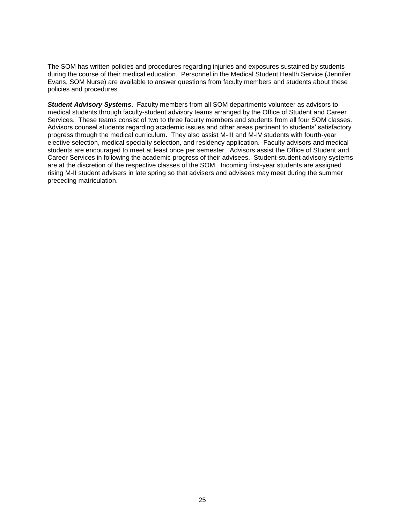The SOM has written policies and procedures regarding injuries and exposures sustained by students during the course of their medical education. Personnel in the Medical Student Health Service (Jennifer Evans, SOM Nurse) are available to answer questions from faculty members and students about these policies and procedures.

*Student Advisory Systems*. Faculty members from all SOM departments volunteer as advisors to medical students through faculty-student advisory teams arranged by the Office of Student and Career Services. These teams consist of two to three faculty members and students from all four SOM classes. Advisors counsel students regarding academic issues and other areas pertinent to students' satisfactory progress through the medical curriculum. They also assist M-III and M-IV students with fourth-year elective selection, medical specialty selection, and residency application. Faculty advisors and medical students are encouraged to meet at least once per semester. Advisors assist the Office of Student and Career Services in following the academic progress of their advisees. Student-student advisory systems are at the discretion of the respective classes of the SOM. Incoming first-year students are assigned rising M-II student advisers in late spring so that advisers and advisees may meet during the summer preceding matriculation.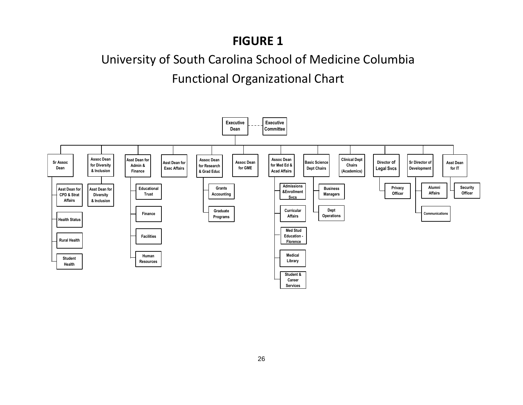## **FIGURE 1**

# University of South Carolina School of Medicine Columbia Functional Organizational Chart